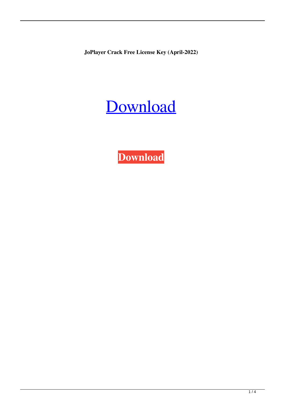**JoPlayer Crack Free License Key (April-2022)**



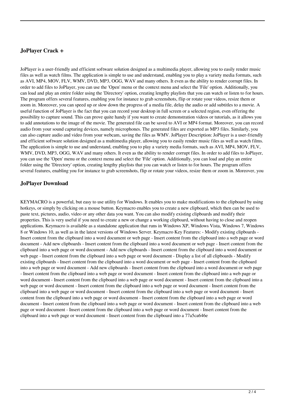## **JoPlayer Crack +**

JoPlayer is a user-friendly and efficient software solution designed as a multimedia player, allowing you to easily render music files as well as watch films. The application is simple to use and understand, enabling you to play a variety media formats, such as AVI, MP4, MOV, FLV, WMV, DVD, MP3, OGG, WAV and many others. It even as the ability to render corrupt files. In order to add files to JoPlayer, you can use the 'Open' menu or the context menu and select the 'File' option. Additionally, you can load and play an entire folder using the 'Directory' option, creating lengthy playlists that you can watch or listen to for hours. The program offers several features, enabling you for instance to grab screenshots, flip or rotate your videos, resize them or zoom in. Moreover, you can speed up or slow down the progress of a media file, delay the audio or add subtitles to a movie. A useful function of JoPlayer is the fact that you can record your desktop in full screen or a selected region, even offering the possibility to capture sound. This can prove quite handy if you want to create demonstration videos or tutorials, as it allows you to add annotations to the image of the movie. The generated file can be saved to AVI or MP4 format. Moreover, you can record audio from your sound capturing devices, namely microphones. The generated files are exported as MP3 files. Similarly, you can also capture audio and video from your webcam, saving the files as WMV. JoPlayer Description: JoPlayer is a user-friendly and efficient software solution designed as a multimedia player, allowing you to easily render music files as well as watch films. The application is simple to use and understand, enabling you to play a variety media formats, such as AVI, MP4, MOV, FLV, WMV, DVD, MP3, OGG, WAV and many others. It even as the ability to render corrupt files. In order to add files to JoPlayer, you can use the 'Open' menu or the context menu and select the 'File' option. Additionally, you can load and play an entire folder using the 'Directory' option, creating lengthy playlists that you can watch or listen to for hours. The program offers several features, enabling you for instance to grab screenshots, flip or rotate your videos, resize them or zoom in. Moreover, you

### **JoPlayer Download**

KEYMACRO is a powerful, but easy to use utility for Windows. It enables you to make modifications to the clipboard by using hotkeys, or simply by clicking on a mouse button. Keymacro enables you to create a new clipboard, which then can be used to paste text, pictures, audio, video or any other data you want. You can also modify existing clipboards and modify their properties. This is very useful if you need to create a new or change a working clipboard, without having to close and reopen applications. Keymacro is available as a standalone application that runs in Windows XP, Windows Vista, Windows 7, Windows 8 or Windows 10, as well as in the latest versions of Windows Server. Keymacro Key Features: - Modify existing clipboards - Insert content from the clipboard into a word document or web page - Insert content from the clipboard into a web page or word document - Add new clipboards - Insert content from the clipboard into a word document or web page - Insert content from the clipboard into a web page or word document - Add new clipboards - Insert content from the clipboard into a word document or web page - Insert content from the clipboard into a web page or word document - Display a list of all clipboards - Modify existing clipboards - Insert content from the clipboard into a word document or web page - Insert content from the clipboard into a web page or word document - Add new clipboards - Insert content from the clipboard into a word document or web page - Insert content from the clipboard into a web page or word document - Insert content from the clipboard into a web page or word document - Insert content from the clipboard into a web page or word document - Insert content from the clipboard into a web page or word document - Insert content from the clipboard into a web page or word document - Insert content from the clipboard into a web page or word document - Insert content from the clipboard into a web page or word document - Insert content from the clipboard into a web page or word document - Insert content from the clipboard into a web page or word document - Insert content from the clipboard into a web page or word document - Insert content from the clipboard into a web page or word document - Insert content from the clipboard into a web page or word document - Insert content from the clipboard into a web page or word document - Insert content from the clipboard into a 77a5ca646e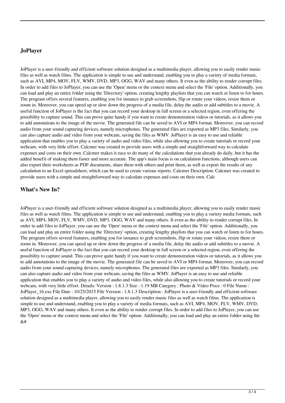#### **JoPlayer**

JoPlayer is a user-friendly and efficient software solution designed as a multimedia player, allowing you to easily render music files as well as watch films. The application is simple to use and understand, enabling you to play a variety of media formats, such as AVI, MP4, MOV, FLV, WMV, DVD, MP3, OGG, WAV and many others. It even as the ability to render corrupt files. In order to add files to JoPlayer, you can use the 'Open' menu or the context menu and select the 'File' option. Additionally, you can load and play an entire folder using the 'Directory' option, creating lengthy playlists that you can watch or listen to for hours. The program offers several features, enabling you for instance to grab screenshots, flip or rotate your videos, resize them or zoom in. Moreover, you can speed up or slow down the progress of a media file, delay the audio or add subtitles to a movie. A useful function of JoPlayer is the fact that you can record your desktop in full screen or a selected region, even offering the possibility to capture sound. This can prove quite handy if you want to create demonstration videos or tutorials, as it allows you to add annotations to the image of the movie. The generated file can be saved to AVI or MP4 format. Moreover, you can record audio from your sound capturing devices, namely microphones. The generated files are exported as MP3 files. Similarly, you can also capture audio and video from your webcam, saving the files as WMV. JoPlayer is an easy to use and reliable application that enables you to play a variety of audio and video files, while also allowing you to create tutorials or record your webcam, with very little effort. Calcmer was created to provide users with a simple and straightforward way to calculate expenses and costs on their own. Calcmer makes it easy to do many of the calculations that you already do daily, but it has the added benefit of making them faster and more accurate. The app's main focus is on calculation functions, although users can also export their worksheets as PDF documents, share them with others and print them, as well as export the results of any calculation to an Excel spreadsheet, which can be used to create various reports. Calcmer Description: Calcmer was created to provide users with a simple and straightforward way to calculate expenses and costs on their own. Calc

#### **What's New In?**

JoPlayer is a user-friendly and efficient software solution designed as a multimedia player, allowing you to easily render music files as well as watch films. The application is simple to use and understand, enabling you to play a variety media formats, such as AVI, MP4, MOV, FLV, WMV, DVD, MP3, OGG, WAV and many others. It even as the ability to render corrupt files. In order to add files to JoPlayer, you can use the 'Open' menu or the context menu and select the 'File' option. Additionally, you can load and play an entire folder using the 'Directory' option, creating lengthy playlists that you can watch or listen to for hours. The program offers several features, enabling you for instance to grab screenshots, flip or rotate your videos, resize them or zoom in. Moreover, you can speed up or slow down the progress of a media file, delay the audio or add subtitles to a movie. A useful function of JoPlayer is the fact that you can record your desktop in full screen or a selected region, even offering the possibility to capture sound. This can prove quite handy if you want to create demonstration videos or tutorials, as it allows you to add annotations to the image of the movie. The generated file can be saved to AVI or MP4 format. Moreover, you can record audio from your sound capturing devices, namely microphones. The generated files are exported as MP3 files. Similarly, you can also capture audio and video from your webcam, saving the files as WMV. JoPlayer is an easy to use and reliable application that enables you to play a variety of audio and video files, while also allowing you to create tutorials or record your webcam, with very little effort. Details: Version : 1.8.1.3 Size : 1.19 MB Category : Photo & Video Price : 0 File Name : JoPlayer 16.exe File Date : 10/25/2015 File Version : 1.8.1.3 Description : JoPlayer is a user-friendly and efficient software solution designed as a multimedia player, allowing you to easily render music files as well as watch films. The application is simple to use and understand, enabling you to play a variety of media formats, such as AVI, MP4, MOV, FLV, WMV, DVD, MP3, OGG, WAV and many others. It even as the ability to render corrupt files. In order to add files to JoPlayer, you can use the 'Open' menu or the context menu and select the 'File' option. Additionally, you can load and play an entire folder using the  $&#</math>$